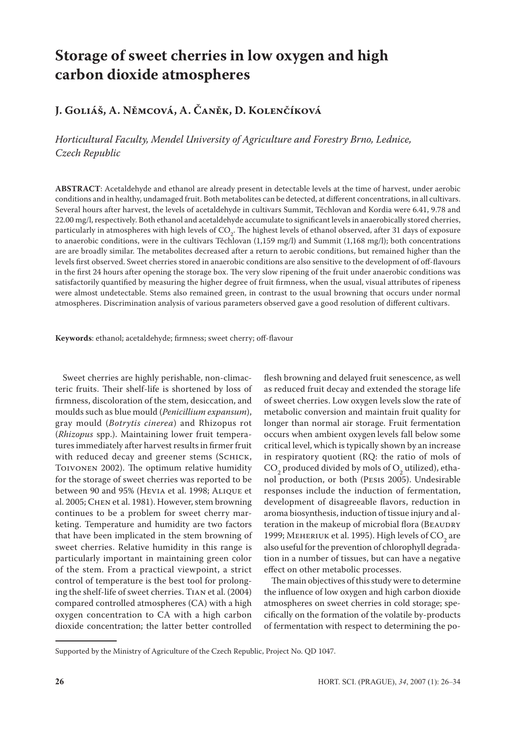# **Storage of sweet cherries in low oxygen and high carbon dioxide atmospheres**

# **J. Goliáš, A. Němcová, A. Čaněk, D. Kolenčíková**

*Horticultural Faculty, Mendel University of Agriculture and Forestry Brno, Lednice, Czech Republic*

**ABSTRACT**: Acetaldehyde and ethanol are already present in detectable levels at the time of harvest, under aerobic conditions and in healthy, undamaged fruit. Both metabolites can be detected, at different concentrations, in all cultivars. Several hours after harvest, the levels of acetaldehyde in cultivars Summit, Těchlovan and Kordia were 6.41, 9.78 and 22.00 mg/l, respectively. Both ethanol and acetaldehyde accumulate to significant levels in anaerobically stored cherries, particularly in atmospheres with high levels of  $CO<sub>2</sub>$ . The highest levels of ethanol observed, after 31 days of exposure to anaerobic conditions, were in the cultivars Těchlovan (1,159 mg/l) and Summit (1,168 mg/l); both concentrations are are broadly similar. The metabolites decreased after a return to aerobic conditions, but remained higher than the levels first observed. Sweet cherries stored in anaerobic conditions are also sensitive to the development of off-flavours in the first 24 hours after opening the storage box. The very slow ripening of the fruit under anaerobic conditions was satisfactorily quantified by measuring the higher degree of fruit firmness, when the usual, visual attributes of ripeness were almost undetectable. Stems also remained green, in contrast to the usual browning that occurs under normal atmospheres. Discrimination analysis of various parameters observed gave a good resolution of different cultivars.

**Keywords**: ethanol; acetaldehyde; firmness; sweet cherry; off-flavour

Sweet cherries are highly perishable, non-climacteric fruits. Their shelf-life is shortened by loss of firmness, discoloration of the stem, desiccation, and moulds such as blue mould (*Penicillium expansum*), gray mould (*Botrytis cinerea*) and Rhizopus rot (*Rhizopus* spp.). Maintaining lower fruit temperatures immediately after harvest results in firmer fruit with reduced decay and greener stems (SCHICK, Toivonen 2002). The optimum relative humidity for the storage of sweet cherries was reported to be between 90 and 95% (Hevia et al. 1998; Alique et al. 2005; Chen et al. 1981). However, stem browning continues to be a problem for sweet cherry marketing. Temperature and humidity are two factors that have been implicated in the stem browning of sweet cherries. Relative humidity in this range is particularly important in maintaining green color of the stem. From a practical viewpoint, a strict control of temperature is the best tool for prolonging the shelf-life of sweet cherries. Tian et al. (2004) compared controlled atmospheres (CA) with a high oxygen concentration to CA with a high carbon dioxide concentration; the latter better controlled

flesh browning and delayed fruit senescence, as well as reduced fruit decay and extended the storage life of sweet cherries. Low oxygen levels slow the rate of metabolic conversion and maintain fruit quality for longer than normal air storage. Fruit fermentation occurs when ambient oxygen levels fall below some critical level, which is typically shown by an increase in respiratory quotient (RQ: the ratio of mols of  $\mathrm{CO}_2$  produced divided by mols of  $\mathrm{O}_2$  utilized), ethanol production, or both (Pesis 2005). Undesirable responses include the induction of fermentation, development of disagreeable flavors, reduction in aroma biosynthesis, induction of tissue injury and alteration in the makeup of microbial flora (BEAUDRY 1999; MEHERIUK et al. 1995). High levels of  $CO_2$  are also useful for the prevention of chlorophyll degradation in a number of tissues, but can have a negative effect on other metabolic processes.

The main objectives of this study were to determine the influence of low oxygen and high carbon dioxide atmospheres on sweet cherries in cold storage; specifically on the formation of the volatile by-products of fermentation with respect to determining the po-

Supported by the Ministry of Agriculture of the Czech Republic, Project No. QD 1047.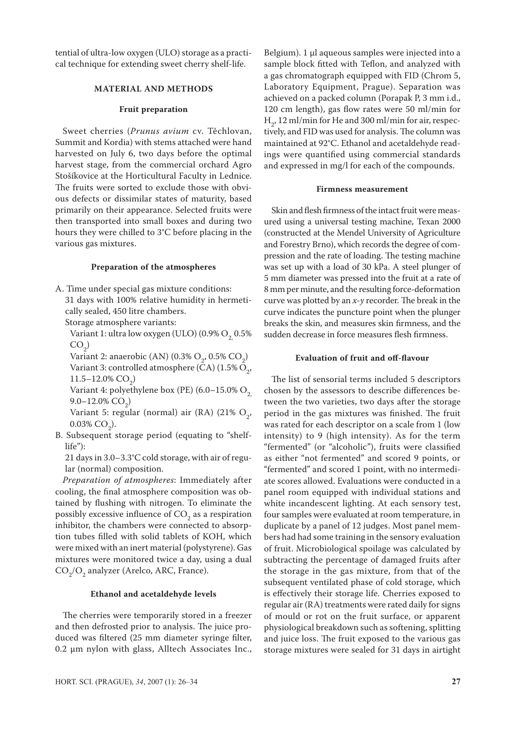tential of ultra-low oxygen (ULO) storage as a practical technique for extending sweet cherry shelf-life.

## **MATERIAL AND METHODS**

#### **Fruit preparation**

Sweet cherries (*Prunus avium* cv. Těchlovan, Summit and Kordia) with stems attached were hand harvested on July 6, two days before the optimal harvest stage, from the commercial orchard Agro Stošíkovice at the Horticultural Faculty in Lednice. The fruits were sorted to exclude those with obvious defects or dissimilar states of maturity, based primarily on their appearance. Selected fruits were then transported into small boxes and during two hours they were chilled to 3°C before placing in the various gas mixtures.

## **Preparation of the atmospheres**

A. Time under special gas mixture conditions: 31 days with 100% relative humidity in hermetically sealed, 450 litre chambers.

Storage atmosphere variants:

Variant 1: ultra low oxygen (ULO) (0.9%  $O<sub>2</sub> 0.5%$  $CO<sub>2</sub>$ )

Variant 2: anaerobic (AN) (0.3%  $O_2$ , 0.5%  $CO_2$ ) Variant 3: controlled atmosphere (CA)  $(1.5\% \text{ O}_2)$ ,  $11.5-12.0\%$  CO<sub>2</sub>)

Variant 4: polyethylene box (PE) (6.0–15.0%  $O_2$ ) 9.0–12.0% CO<sub>2</sub>)

Variant 5: regular (normal) air (RA) (21%  $O_2$ , 0.03% CO<sub>2</sub>).

B. Subsequent storage period (equating to "shelflife"):

21 days in 3.0–3.3°C cold storage, with air of regular (normal) composition.

*Preparation of atmospheres*: Immediately after cooling, the final atmosphere composition was obtained by flushing with nitrogen. To eliminate the possibly excessive influence of  $CO<sub>2</sub>$  as a respiration inhibitor, the chambers were connected to absorption tubes filled with solid tablets of KOH, which were mixed with an inert material (polystyrene). Gas mixtures were monitored twice a day, using a dual  $\mathcal{C}\mathcal{O}_2/\mathcal{O}_2$  analyzer (Arelco, ARC, France).

## **Ethanol and acetaldehyde levels**

The cherries were temporarily stored in a freezer and then defrosted prior to analysis. The juice produced was filtered (25 mm diameter syringe filter, 0.2 μm nylon with glass, Alltech Associates Inc., Belgium). 1 μl aqueous samples were injected into a sample block fitted with Teflon, and analyzed with a gas chromatograph equipped with FID (Chrom 5, Laboratory Equipment, Prague). Separation was achieved on a packed column (Porapak P, 3 mm i.d., 120 cm length), gas flow rates were 50 ml/min for  $H<sub>2</sub>$ , 12 ml/min for He and 300 ml/min for air, respectively, and FID was used for analysis. The column was maintained at 92°C. Ethanol and acetaldehyde readings were quantified using commercial standards and expressed in mg/l for each of the compounds.

#### **Firmness measurement**

Skin and flesh firmness of the intact fruit were measured using a universal testing machine, Texan 2000 (constructed at the Mendel University of Agriculture and Forestry Brno), which records the degree of compression and the rate of loading. The testing machine was set up with a load of 30 kPa. A steel plunger of 5 mm diameter was pressed into the fruit at a rate of 8 mm per minute, and the resulting force-deformation curve was plotted by an *x-y* recorder. The break in the curve indicates the puncture point when the plunger breaks the skin, and measures skin firmness, and the sudden decrease in force measures flesh firmness.

#### **Evaluation of fruit and off-flavour**

The list of sensorial terms included 5 descriptors chosen by the assessors to describe differences between the two varieties, two days after the storage period in the gas mixtures was finished. The fruit was rated for each descriptor on a scale from 1 (low intensity) to 9 (high intensity). As for the term "fermented" (or "alcoholic"), fruits were classified as either "not fermented" and scored 9 points, or "fermented" and scored 1 point, with no intermediate scores allowed. Evaluations were conducted in a panel room equipped with individual stations and white incandescent lighting. At each sensory test, four samples were evaluated at room temperature, in duplicate by a panel of 12 judges. Most panel members had had some training in the sensory evaluation of fruit. Microbiological spoilage was calculated by subtracting the percentage of damaged fruits after the storage in the gas mixture, from that of the subsequent ventilated phase of cold storage, which is effectively their storage life. Cherries exposed to regular air (RA) treatments were rated daily for signs of mould or rot on the fruit surface, or apparent physiological breakdown such as softening, splitting and juice loss. The fruit exposed to the various gas storage mixtures were sealed for 31 days in airtight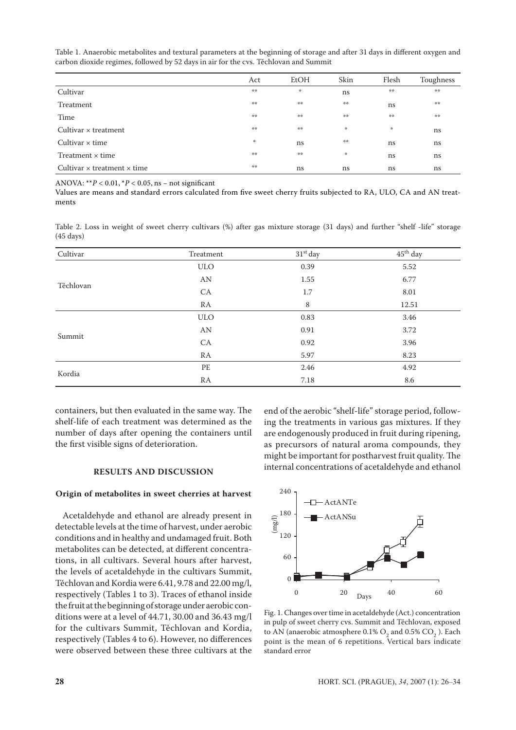Act EtOH Skin Flesh Toughness  $\text{Cultivar}$  and  $\text{Cultivar}$  is the contract of  $\text{Cultivar}$  is the contract of  $\text{Cultivar}$  is the contract of  $\text{Cutiver}$ Treatment  $\begin{array}{ccc}\n\ast & \ast & \ast & \ast & \ast \\
\ast & \ast & \ast & \ast\n\end{array}$  is  $\begin{array}{ccc}\n\ast & \ast & \ast \\
\ast & \ast & \ast\n\end{array}$  $\text{Time} \qquad \qquad \overset{\text{\tiny{def}}}{\text{#}} \qquad \qquad \overset{\text{\tiny{def}}}{\text{#}} \qquad \qquad \overset{\text{\tiny{def}}}{\text{#}} \qquad \qquad \overset{\text{\tiny{def}}}{\text{#}} \qquad \qquad \overset{\text{\tiny{def}}}{\text{#}} \qquad \qquad \overset{\text{\tiny{def}}}{\text{#}} \qquad \qquad \overset{\text{\tiny{def}}}{\text{#}} \qquad \qquad \overset{\text{\tiny{def}}}{\text{#}} \qquad \qquad \overset{\text{\tiny{def}}}{\text{#}} \qquad \qquad \overset{\text{\tiny{def}}}{$ Cultivar x treatment the state of the state of the state of the state of the state of the state of the state of the state of the state of the state of the state of the state of the state of the state of the state of the st Cultivar  $\times$  time the ns  $\sim$   $\frac{1}{2}$  ns  $\sim$  ns ns ns ns ns Treatment  $\times$  time  $\qquad \qquad \bullet^*$   $\qquad \bullet^*$   $\qquad \qquad$  ns ns ns Cultivar × treatment × time  $\qquad \qquad$  ns ns ns ns ns ns ns

Table 1. Anaerobic metabolites and textural parameters at the beginning of storage and after 31 days in different oxygen and carbon dioxide regimes, followed by 52 days in air for the cvs. Těchlovan and Summit

ANOVA:  $*$ <sup>\*</sup> $P$  < 0.01,  $*$  $P$  < 0.05, ns – not significant

Values are means and standard errors calculated from five sweet cherry fruits subjected to RA, ULO, CA and AN treatments

Table 2. Loss in weight of sweet cherry cultivars (%) after gas mixture storage (31 days) and further "shelf -life" storage (45 days)

| Cultivar  | Treatment  | $31st$ day | 45 <sup>th</sup> day |
|-----------|------------|------------|----------------------|
| Těchlovan | <b>ULO</b> | 0.39       | 5.52                 |
|           | AN         | 1.55       | 6.77                 |
|           | CA         | 1.7        | 8.01                 |
|           | RA         | 8          | 12.51                |
| Summit    | <b>ULO</b> | 0.83       | 3.46                 |
|           | AN         | 0.91       | 3.72                 |
|           | CA         | 0.92       | 3.96                 |
|           | RA         | 5.97       | 8.23                 |
| Kordia    | PE         | 2.46       | 4.92                 |
|           | RA         | 7.18       | 8.6                  |

containers, but then evaluated in the same way. The shelf-life of each treatment was determined as the number of days after opening the containers until the first visible signs of deterioration.

#### **RESULTS AND DISCUSSION**

#### **Origin of metabolites in sweet cherries at harvest**

Acetaldehyde and ethanol are already present in detectable levels at the time of harvest, under aerobic conditions and in healthy and undamaged fruit. Both metabolites can be detected, at different concentrations, in all cultivars. Several hours after harvest, the levels of acetaldehyde in the cultivars Summit, Těchlovan and Kordia were 6.41, 9.78 and 22.00 mg/l, respectively (Tables 1 to 3). Traces of ethanol inside the fruit at the beginning of storage under aerobic conditions were at a level of 44.71, 30.00 and 36.43 mg/l for the cultivars Summit, Těchlovan and Kordia, respectively (Tables 4 to 6). However, no differences were observed between these three cultivars at the

end of the aerobic "shelf-life" storage period, following the treatments in various gas mixtures. If they are endogenously produced in fruit during ripening, as precursors of natural aroma compounds, they might be important for postharvest fruit quality. The internal concentrations of acetaldehyde and ethanol



Fig. 1. Changes over time in acetaldehyde (Act.) concentration in pulp of sweet cherry cvs. Summit and Těchlovan, exposed to AN (anaerobic atmosphere  $0.1\%$   $\text{O}_2$  and  $0.5\%$   $\text{CO}_2$  ). Each point is the mean of 6 repetitions. Vertical bars indicate standard error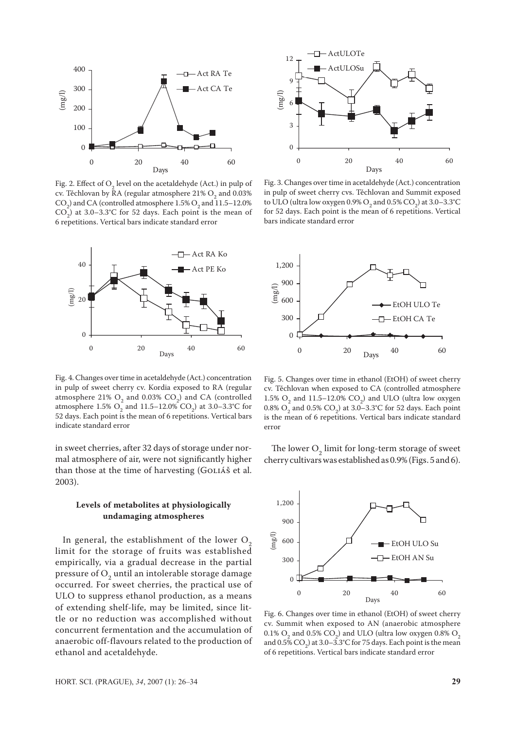

Fig. 2. Effect of O<sub>2</sub> level on the acetaldehyde (Act.) in pulp of cv. Těchlovan by RA (regular atmosphere  $21\%$  O<sub>2</sub> and 0.03%  $\text{CO}_2$ ) and CA (controlled atmosphere 1.5%  $\text{O}_2$  and 11.5–12.0%  $CO<sub>2</sub>$ ) at 3.0–3.3°C for 52 days. Each point is the mean of 6 repetitions. Vertical bars indicate standard error



Fig. 4. Changes over time in acetaldehyde (Act.) concentration in pulp of sweet cherry cv. Kordia exposed to RA (regular atmosphere 21%  $O_2$  and 0.03%  $CO_2$ ) and CA (controlled atmosphere  $1.5\%$  O<sub>2</sub> and  $11.5-12.0\%$  CO<sub>2</sub>) at  $3.0-3.3\degree$ C for 52 days. Each point is the mean of 6 repetitions. Vertical bars indicate standard error

in sweet cherries, after 32 days of storage under normal atmosphere of air, were not significantly higher than those at the time of harvesting (GOLIÁŠ et al. 2003).

## **Levels of metabolites at physiologically undamaging atmospheres**

In general, the establishment of the lower  $O<sub>2</sub>$ limit for the storage of fruits was established empirically, via a gradual decrease in the partial pressure of  $O_2$  until an intolerable storage damage occurred. For sweet cherries, the practical use of ULO to suppress ethanol production, as a means of extending shelf-life, may be limited, since little or no reduction was accomplished without concurrent fermentation and the accumulation of anaerobic off-flavours related to the production of ethanol and acetaldehyde.



Fig. 3. Changes over time in acetaldehyde (Act.) concentration in pulp of sweet cherry cvs. Těchlovan and Summit exposed to ULO (ultra low oxygen 0.9%  $O_2$  and 0.5%  $CO_2$ ) at 3.0–3.3°C for 52 days. Each point is the mean of 6 repetitions. Vertical bars indicate standard error



Fig. 5. Changes over time in ethanol (EtOH) of sweet cherry cv. Těchlovan when exposed to CA (controlled atmosphere 1.5%  $O_2$  and 11.5–12.0%  $CO_2$ ) and ULO (ultra low oxygen 0.8%  $O_2$  and 0.5%  $CO_2$ ) at 3.0–3.3°C for 52 days. Each point is the mean of 6 repetitions. Vertical bars indicate standard error

The lower  $O_2$  limit for long-term storage of sweet cherry cultivars was established as 0.9% (Figs. 5 and 6).



Fig. 6. Changes over time in ethanol (EtOH) of sweet cherry cv. Summit when exposed to AN (anaerobic atmosphere 0.1%  $O_2$  and 0.5%  $CO_2$ ) and ULO (ultra low oxygen 0.8%  $O_2$ ) and  $0.5\%$  CO<sub>2</sub>) at  $3.0-3.3$ °C for 75 days. Each point is the mean of 6 repetitions. Vertical bars indicate standard error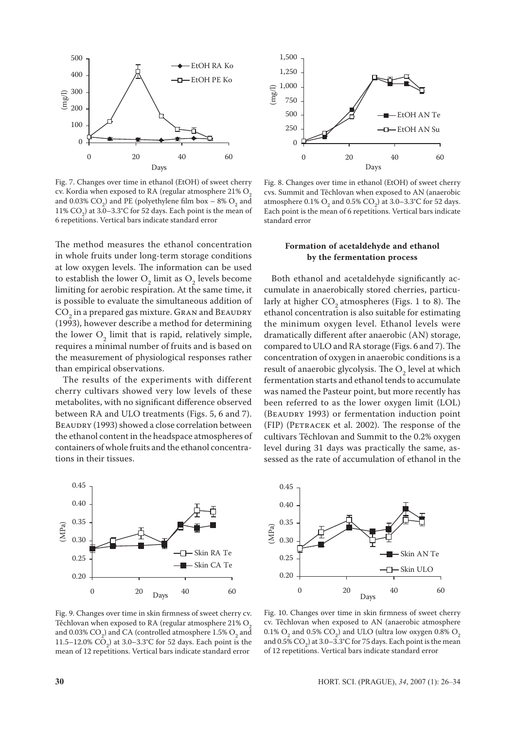

Fig. 7. Changes over time in ethanol (EtOH) of sweet cherry cv. Kordia when exposed to RA (regular atmosphere  $21\%$  O<sub>2</sub> and 0.03%  $CO_2$ ) and PE (polyethylene film box – 8%  $O_2$  and 11%  $CO<sub>2</sub>$ ) at 3.0–3.3°C for 52 days. Each point is the mean of 6 repetitions. Vertical bars indicate standard error

The method measures the ethanol concentration in whole fruits under long-term storage conditions at low oxygen levels. The information can be used to establish the lower  $O_2$  limit as  $O_2$  levels become limiting for aerobic respiration. At the same time, it is possible to evaluate the simultaneous addition of  $\mathrm{CO}_2$  in a prepared gas mixture. GRAN and BEAUDRY (1993), however describe a method for determining the lower  $O_2$  limit that is rapid, relatively simple, requires a minimal number of fruits and is based on the measurement of physiological responses rather than empirical observations.

The results of the experiments with different cherry cultivars showed very low levels of these metabolites, with no significant difference observed between RA and ULO treatments (Figs. 5, 6 and 7). BEAUDRY (1993) showed a close correlation between the ethanol content in the headspace atmospheres of containers of whole fruits and the ethanol concentrations in their tissues.



Fig. 9. Changes over time in skin firmness of sweet cherry cv. Těchlovan when exposed to RA (regular atmosphere  $21\%$  O<sub>2</sub> and 0.03%  $CO_2$ ) and CA (controlled atmosphere 1.5%  $O_2$  and 11.5–12.0%  $CO_2$ ) at 3.0–3.3°C for 52 days. Each point is the mean of 12 repetitions. Vertical bars indicate standard error



Fig. 8. Changes over time in ethanol (EtOH) of sweet cherry cvs. Summit and Těchlovan when exposed to AN (anaerobic atmosphere  $0.1\%$  O<sub>2</sub> and  $0.5\%$  CO<sub>2</sub>) at 3.0–3.3°C for 52 days. Each point is the mean of 6 repetitions. Vertical bars indicate standard error

## **Formation of acetaldehyde and ethanol by the fermentation process**

Both ethanol and acetaldehyde significantly accumulate in anaerobically stored cherries, particularly at higher  $CO<sub>2</sub>$  atmospheres (Figs. 1 to 8). The ethanol concentration is also suitable for estimating the minimum oxygen level. Ethanol levels were dramatically different after anaerobic (AN) storage, compared to ULO and RA storage (Figs. 6 and 7). The concentration of oxygen in anaerobic conditions is a result of anaerobic glycolysis. The  $O_2$  level at which fermentation starts and ethanol tends to accumulate was named the Pasteur point, but more recently has been referred to as the lower oxygen limit (LOL) (BEAUDRY 1993) or fermentation induction point (FIP) (Petracek et al. 2002). The response of the cultivars Těchlovan and Summit to the 0.2% oxygen level during 31 days was practically the same, assessed as the rate of accumulation of ethanol in the



Fig. 10. Changes over time in skin firmness of sweet cherry cv. Těchlovan when exposed to AN (anaerobic atmosphere 0.1%  $O_2$  and 0.5%  $CO_2$ ) and ULO (ultra low oxygen 0.8%  $O_2$ ) and 0.5%  $CO_2$ ) at 3.0–3.3°C for 75 days. Each point is the mean of 12 repetitions. Vertical bars indicate standard error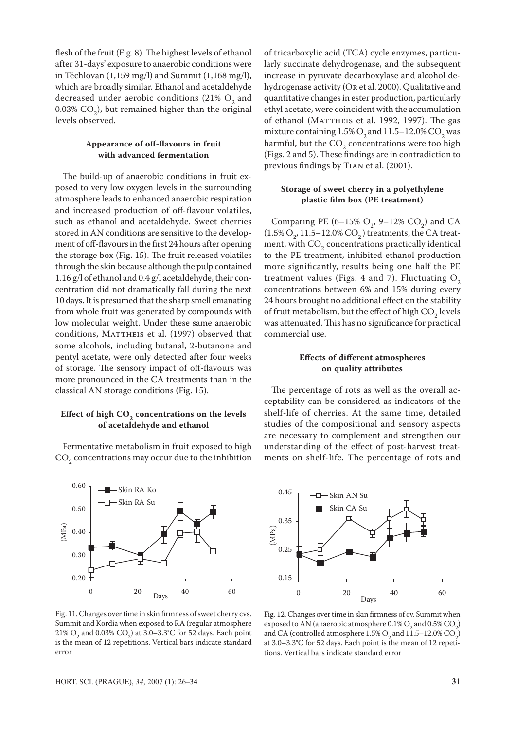flesh of the fruit (Fig. 8). The highest levels of ethanol after 31-days' exposure to anaerobic conditions were in Těchlovan (1,159 mg/l) and Summit (1,168 mg/l), which are broadly similar. Ethanol and acetaldehyde decreased under aerobic conditions (21%  $O<sub>2</sub>$  and  $0.03\%$  CO<sub>2</sub>), but remained higher than the original levels observed.

### **Appearance of off-flavours in fruit with advanced fermentation**

The build-up of anaerobic conditions in fruit exposed to very low oxygen levels in the surrounding atmosphere leads to enhanced anaerobic respiration and increased production of off-flavour volatiles, such as ethanol and acetaldehyde. Sweet cherries stored in AN conditions are sensitive to the development of off-flavours in the first 24 hours after opening the storage box (Fig. 15). The fruit released volatiles through the skin because although the pulp contained 1.16 g/l of ethanol and 0.4 g/l acetaldehyde, their concentration did not dramatically fall during the next 10 days. It is presumed that the sharp smell emanating from whole fruit was generated by compounds with low molecular weight. Under these same anaerobic conditions, MATTHEIS et al. (1997) observed that some alcohols, including butanal, 2-butanone and pentyl acetate, were only detected after four weeks of storage. The sensory impact of off-flavours was more pronounced in the CA treatments than in the classical AN storage conditions (Fig. 15).

#### Effect of high  $CO<sub>2</sub>$  concentrations on the levels **of acetaldehyde and ethanol**

Fermentative metabolism in fruit exposed to high  $\mathrm{CO}_2$  concentrations may occur due to the inhibition



of tricarboxylic acid (TCA) cycle enzymes, particularly succinate dehydrogenase, and the subsequent increase in pyruvate decarboxylase and alcohol dehydrogenase activity (Or et al. 2000). Qualitative and quantitative changes in ester production, particularly ethyl acetate, were coincident with the accumulation of ethanol (MATTHEIS et al. 1992, 1997). The gas mixture containing  $1.5\%$  O<sub>2</sub> and  $11.5-12.0\%$  CO<sub>2</sub> was harmful, but the  $CO_2$  concentrations were too high (Figs. 2 and 5). These findings are in contradiction to previous findings by Tian et al. (2001).

## **Storage of sweet cherry in a polyethylene plastic film box (PE treatment)**

Comparing PE  $(6-15\% \text{ O}_2, 9-12\% \text{ CO}_2)$  and CA  $(1.5\% \text{ O}_2, 11.5-12.0\% \text{ CO}_2)$  treatments, the CA treatment, with  $CO_2$  concentrations practically identical to the PE treatment, inhibited ethanol production more significantly, results being one half the PE treatment values (Figs. 4 and 7). Fluctuating  $O<sub>2</sub>$ concentrations between 6% and 15% during every 24 hours brought no additional effect on the stability of fruit metabolism, but the effect of high  $CO_2$  levels was attenuated. This has no significance for practical commercial use.

## **Effects of different atmospheres on quality attributes**

The percentage of rots as well as the overall acceptability can be considered as indicators of the shelf-life of cherries. At the same time, detailed studies of the compositional and sensory aspects are necessary to complement and strengthen our understanding of the effect of post-harvest treatments on shelf-life. The percentage of rots and



Fig. 11. Changes over time in skin firmness of sweet cherry cvs. Summit and Kordia when exposed to RA (regular atmosphere 21% O<sub>2</sub> and 0.03% CO<sub>2</sub>) at 3.0–3.3°C for 52 days. Each point is the mean of 12 repetitions. Vertical bars indicate standard error

Fig. 12. Changes over time in skin firmness of cv. Summit when exposed to AN (anaerobic atmosphere  $0.1\%$  O<sub>2</sub> and  $0.5\%$  CO<sub>2</sub>) and CA (controlled atmosphere  $1.5\%$  O<sub>2</sub> and  $11.5-12.0\%$  CO<sub>2</sub>) at 3.0–3.3°C for 52 days. Each point is the mean of 12 repetitions. Vertical bars indicate standard error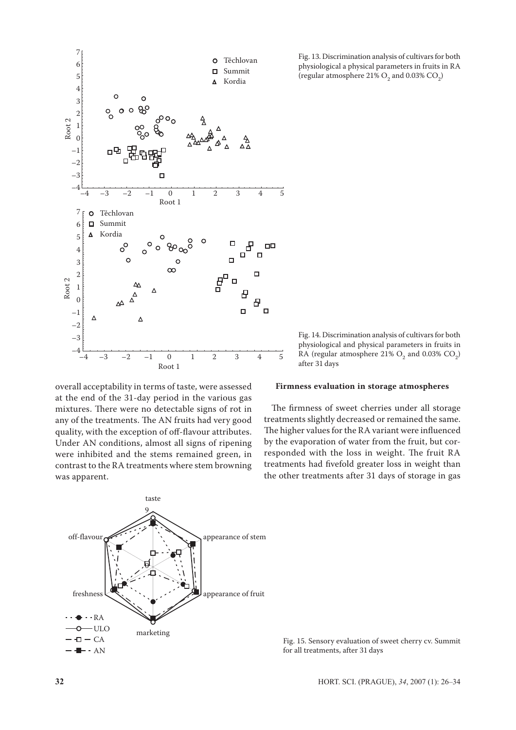

overall acceptability in terms of taste, were assessed at the end of the 31-day period in the various gas mixtures. There were no detectable signs of rot in any of the treatments. The AN fruits had very good quality, with the exception of off-flavour attributes. Under AN conditions, almost all signs of ripening were inhibited and the stems remained green, in contrast to the RA treatments where stem browning was apparent.



Fig. 13. Discrimination analysis of cultivars for both physiological a physical parameters in fruits in RA (regular atmosphere  $21\%$  O<sub>2</sub> and 0.03% CO<sub>2</sub>)

Fig. 14. Discrimination analysis of cultivars for both physiological and physical parameters in fruits in RA (regular atmosphere  $21\%$  O<sub>2</sub> and 0.03% CO<sub>2</sub>) after 31 days

#### **Firmness evaluation in storage atmospheres**

The firmness of sweet cherries under all storage treatments slightly decreased or remained the same. The higher values for the RA variant were influenced by the evaporation of water from the fruit, but corresponded with the loss in weight. The fruit RA treatments had fivefold greater loss in weight than the other treatments after 31 days of storage in gas

Fig. 15. Sensory evaluation of sweet cherry cv. Summit for all treatments, after 31 days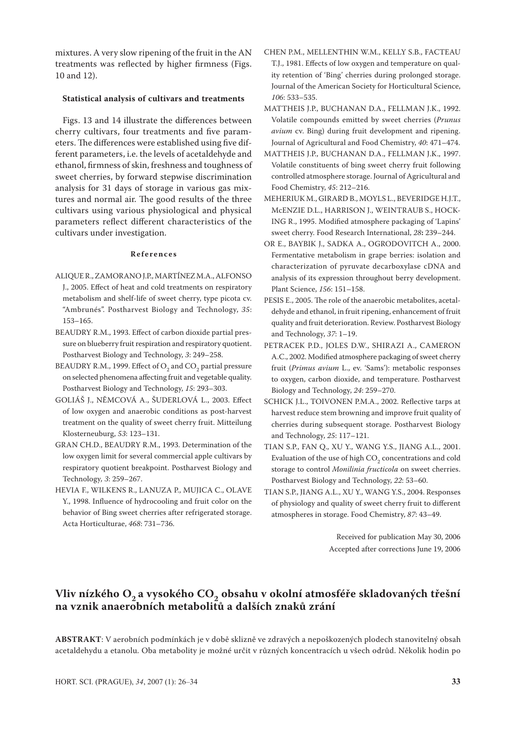mixtures. A very slow ripening of the fruit in the AN treatments was reflected by higher firmness (Figs. 10 and 12).

## **Statistical analysis of cultivars and treatments**

Figs. 13 and 14 illustrate the differences between cherry cultivars, four treatments and five parameters. The differences were established using five different parameters, i.e. the levels of acetaldehyde and ethanol, firmness of skin, freshness and toughness of sweet cherries, by forward stepwise discrimination analysis for 31 days of storage in various gas mixtures and normal air. The good results of the three cultivars using various physiological and physical parameters reflect different characteristics of the cultivars under investigation.

#### **R e f e r e n c e s**

- ALIQUE R., ZAMORANO J.P., MARTÍNEZ M.A., ALFONSO J., 2005. Effect of heat and cold treatments on respiratory metabolism and shelf-life of sweet cherry, type picota cv. "Ambrunés". Postharvest Biology and Technology, *35*: 153–165.
- BEAUDRY R.M., 1993. Effect of carbon dioxide partial pressure on blueberry fruit respiration and respiratory quotient. Postharvest Biology and Technology, *3*: 249–258.
- BEAUDRY R.M., 1999. Effect of  $\mathrm{O}_2^{}$  and  $\mathrm{CO}_2^{}$  partial pressure on selected phenomena affecting fruit and vegetable quality. Postharvest Biology and Technology, *15*: 293–303.
- GOLIÁŠ J., NĚMCOVÁ A., ŠUDERLOVÁ L., 2003. Effect of low oxygen and anaerobic conditions as post-harvest treatment on the quality of sweet cherry fruit. Mitteilung Klosterneuburg, *53*: 123–131.
- GRAN CH.D., BEAUDRY R.M., 1993. Determination of the low oxygen limit for several commercial apple cultivars by respiratory quotient breakpoint. Postharvest Biology and Technology*, 3*: 259–267.
- HEVIA F., WILKENS R., LANUZA P., MUJICA C., OLAVE Y., 1998. Influence of hydrocooling and fruit color on the behavior of Bing sweet cherries after refrigerated storage. Acta Horticulturae, *468*: 731–736.
- CHEN P.M., MELLENTHIN W.M., KELLY S.B., FACTEAU T.J., 1981. Effects of low oxygen and temperature on quality retention of 'Bing' cherries during prolonged storage. Journal of the American Society for Horticultural Science, *106*: 533–535.
- MATTHEIS J.P., BUCHANAN D.A., FELLMAN J.K., 1992. Volatile compounds emitted by sweet cherries (*Prunus avium* cv. Bing) during fruit development and ripening. Journal of Agricultural and Food Chemistry, *40*: 471–474.
- MATTHEIS J.P., BUCHANAN D.A., FELLMAN J.K., 1997. Volatile constituents of bing sweet cherry fruit following controlled atmosphere storage. Journal of Agricultural and Food Chemistry, *45*: 212–216.
- MEHERIUK M., GIRARD B., MOYLS L., BEVERIDGE H.J.T., McENZIE D.L., HARRISON J., WEINTRAUB S., HOCK-ING R., 1995. Modified atmosphere packaging of 'Lapins' sweet cherry. Food Research International, *28***:** 239–244.
- OR E., BAYBIK J., SADKA A., OGRODOVITCH A., 2000. Fermentative metabolism in grape berries: isolation and characterization of pyruvate decarboxylase cDNA and analysis of its expression throughout berry development. Plant Science, *156*: 151–158.
- PESIS E., 2005. The role of the anaerobic metabolites, acetaldehyde and ethanol, in fruit ripening, enhancement of fruit quality and fruit deterioration. Review. Postharvest Biology and Technology, *37*: 1–19.
- PETRACEK P.D., JOLES D.W., SHIRAZI A., CAMERON A.C., 2002. Modified atmosphere packaging of sweet cherry fruit (*Primus avium* L., ev. 'Sams'): metabolic responses to oxygen, carbon dioxide, and temperature. Postharvest Biology and Technology, *24*: 259–270.
- SCHICK J.L., TOIVONEN P.M.A., 2002. Reflective tarps at harvest reduce stem browning and improve fruit quality of cherries during subsequent storage. Postharvest Biology and Technology, *25*: 117–121.
- TIAN S.P., FAN Q., XU Y., WANG Y.S., JIANG A.L., 2001. Evaluation of the use of high  $\mathrm{CO}_2$  concentrations and cold storage to control *Monilinia fructicola* on sweet cherries. Postharvest Biology and Technology, *22*: 53–60.
- TIAN S.P., JIANG A.L., XU Y., WANG Y.S., 2004. Responses of physiology and quality of sweet cherry fruit to different atmospheres in storage. Food Chemistry, *87*: 43–49.

Received for publication May 30, 2006 Accepted after corrections June 19, 2006

## Vliv nízkého O<sub>2</sub> a vysokého CO<sub>2</sub> obsahu v okolní atmosféře skladovaných třešní **pozri na vznik anaerobních metabolitů a dalších znaků zrání**

**ABSTRAKT**: V aerobních podmínkách je v době sklizně ve zdravých a nepoškozených plodech stanovitelný obsah acetaldehydu a etanolu. Oba metabolity je možné určit v různých koncentracích u všech odrůd. Několik hodin po